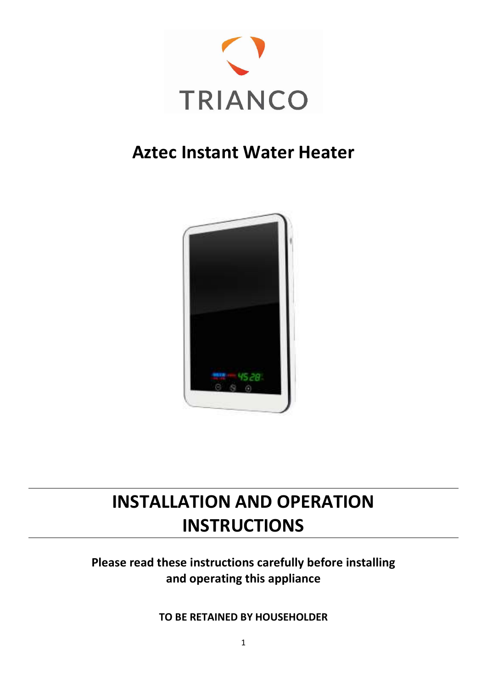

# Aztec Instant Water Heater



# INSTALLATION AND OPERATION **INSTRUCTIONS**

# Please read these instructions carefully before installing and operating this appliance

TO BE RETAINED BY HOUSEHOLDER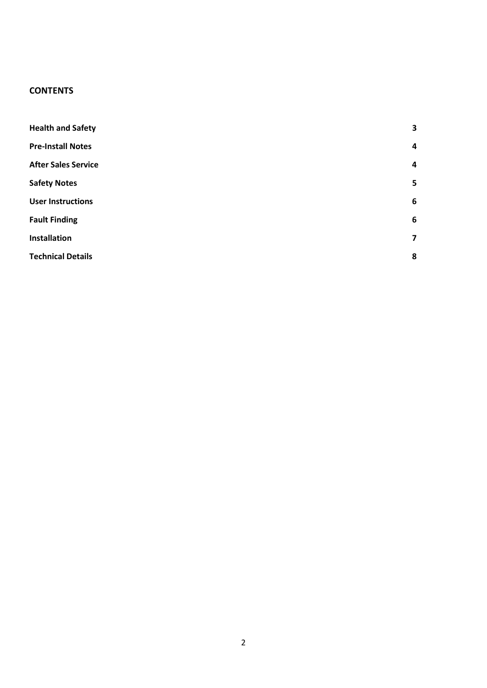## **CONTENTS**

| <b>Health and Safety</b>   | $\overline{\mathbf{3}}$ |
|----------------------------|-------------------------|
| <b>Pre-Install Notes</b>   | 4                       |
| <b>After Sales Service</b> | 4                       |
| <b>Safety Notes</b>        | 5                       |
| <b>User Instructions</b>   | 6                       |
| <b>Fault Finding</b>       | 6                       |
| <b>Installation</b>        | $\overline{7}$          |
| <b>Technical Details</b>   | 8                       |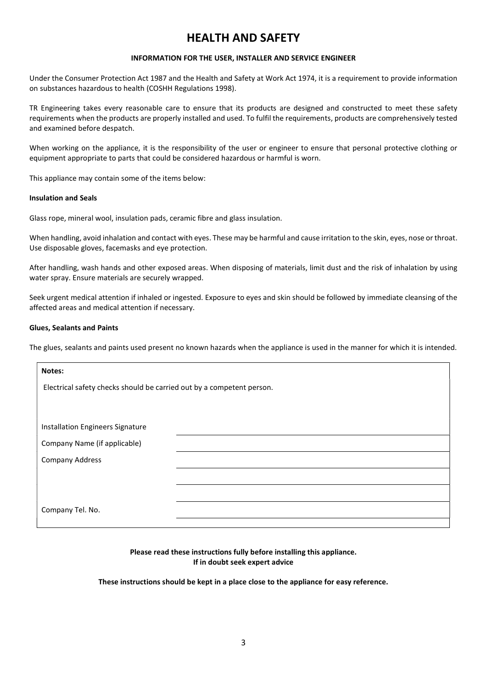# HEALTH AND SAFETY

## INFORMATION FOR THE USER, INSTALLER AND SERVICE ENGINEER

Under the Consumer Protection Act 1987 and the Health and Safety at Work Act 1974, it is a requirement to provide information on substances hazardous to health (COSHH Regulations 1998).

TR Engineering takes every reasonable care to ensure that its products are designed and constructed to meet these safety requirements when the products are properly installed and used. To fulfil the requirements, products are comprehensively tested and examined before despatch.

When working on the appliance, it is the responsibility of the user or engineer to ensure that personal protective clothing or equipment appropriate to parts that could be considered hazardous or harmful is worn.

This appliance may contain some of the items below:

#### Insulation and Seals

Glass rope, mineral wool, insulation pads, ceramic fibre and glass insulation.

When handling, avoid inhalation and contact with eyes. These may be harmful and cause irritation to the skin, eyes, nose or throat. Use disposable gloves, facemasks and eye protection.

After handling, wash hands and other exposed areas. When disposing of materials, limit dust and the risk of inhalation by using water spray. Ensure materials are securely wrapped.

Seek urgent medical attention if inhaled or ingested. Exposure to eyes and skin should be followed by immediate cleansing of the affected areas and medical attention if necessary.

## Glues, Sealants and Paints

The glues, sealants and paints used present no known hazards when the appliance is used in the manner for which it is intended.

| Notes:                                                                |  |  |  |  |
|-----------------------------------------------------------------------|--|--|--|--|
| Electrical safety checks should be carried out by a competent person. |  |  |  |  |
|                                                                       |  |  |  |  |
|                                                                       |  |  |  |  |
| Installation Engineers Signature                                      |  |  |  |  |
| Company Name (if applicable)                                          |  |  |  |  |
| <b>Company Address</b>                                                |  |  |  |  |
|                                                                       |  |  |  |  |
|                                                                       |  |  |  |  |
| Company Tel. No.                                                      |  |  |  |  |
|                                                                       |  |  |  |  |

Please read these instructions fully before installing this appliance. If in doubt seek expert advice

These instructions should be kept in a place close to the appliance for easy reference.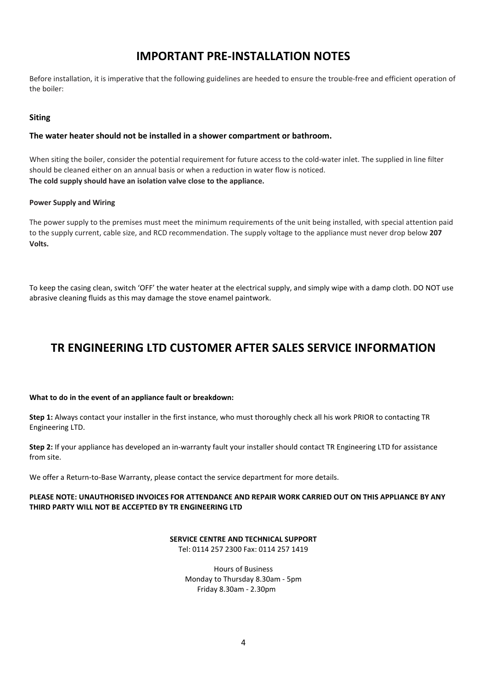# IMPORTANT PRE-INSTALLATION NOTES

Before installation, it is imperative that the following guidelines are heeded to ensure the trouble-free and efficient operation of the boiler:

## Siting

## The water heater should not be installed in a shower compartment or bathroom.

When siting the boiler, consider the potential requirement for future access to the cold-water inlet. The supplied in line filter should be cleaned either on an annual basis or when a reduction in water flow is noticed. The cold supply should have an isolation valve close to the appliance.

## Power Supply and Wiring

The power supply to the premises must meet the minimum requirements of the unit being installed, with special attention paid to the supply current, cable size, and RCD recommendation. The supply voltage to the appliance must never drop below 207 Volts.

To keep the casing clean, switch 'OFF' the water heater at the electrical supply, and simply wipe with a damp cloth. DO NOT use abrasive cleaning fluids as this may damage the stove enamel paintwork.

# TR ENGINEERING LTD CUSTOMER AFTER SALES SERVICE INFORMATION

## What to do in the event of an appliance fault or breakdown:

Step 1: Always contact your installer in the first instance, who must thoroughly check all his work PRIOR to contacting TR Engineering LTD.

Step 2: If your appliance has developed an in-warranty fault your installer should contact TR Engineering LTD for assistance from site.

We offer a Return-to-Base Warranty, please contact the service department for more details.

## PLEASE NOTE: UNAUTHORISED INVOICES FOR ATTENDANCE AND REPAIR WORK CARRIED OUT ON THIS APPLIANCE BY ANY THIRD PARTY WILL NOT BE ACCEPTED BY TR ENGINEERING LTD

#### SERVICE CENTRE AND TECHNICAL SUPPORT Tel: 0114 257 2300 Fax: 0114 257 1419

Hours of Business Monday to Thursday 8.30am - 5pm Friday 8.30am - 2.30pm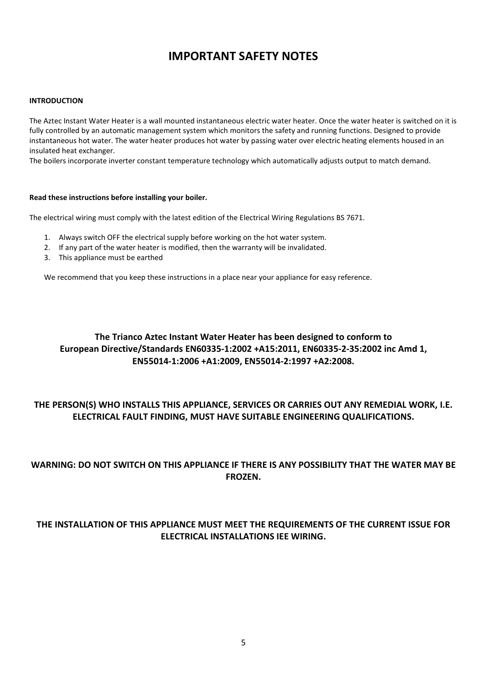# IMPORTANT SAFETY NOTES

## INTRODUCTION

The Aztec Instant Water Heater is a wall mounted instantaneous electric water heater. Once the water heater is switched on it is fully controlled by an automatic management system which monitors the safety and running functions. Designed to provide instantaneous hot water. The water heater produces hot water by passing water over electric heating elements housed in an insulated heat exchanger.

The boilers incorporate inverter constant temperature technology which automatically adjusts output to match demand.

## Read these instructions before installing your boiler.

The electrical wiring must comply with the latest edition of the Electrical Wiring Regulations BS 7671.

- 1. Always switch OFF the electrical supply before working on the hot water system.
- 2. If any part of the water heater is modified, then the warranty will be invalidated.
- 3. This appliance must be earthed

We recommend that you keep these instructions in a place near your appliance for easy reference.

## The Trianco Aztec Instant Water Heater has been designed to conform to European Directive/Standards EN60335-1:2002 +A15:2011, EN60335-2-35:2002 inc Amd 1, EN55014-1:2006 +A1:2009, EN55014-2:1997 +A2:2008.

## THE PERSON(S) WHO INSTALLS THIS APPLIANCE, SERVICES OR CARRIES OUT ANY REMEDIAL WORK, I.E. ELECTRICAL FAULT FINDING, MUST HAVE SUITABLE ENGINEERING QUALIFICATIONS.

## WARNING: DO NOT SWITCH ON THIS APPLIANCE IF THERE IS ANY POSSIBILITY THAT THE WATER MAY BE FROZEN.

## THE INSTALLATION OF THIS APPLIANCE MUST MEET THE REQUIREMENTS OF THE CURRENT ISSUE FOR ELECTRICAL INSTALLATIONS IEE WIRING.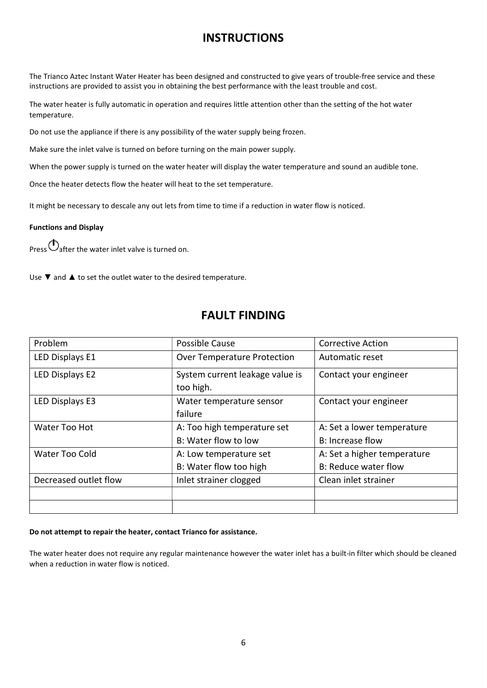## **INSTRUCTIONS**

The Trianco Aztec Instant Water Heater has been designed and constructed to give years of trouble-free service and these instructions are provided to assist you in obtaining the best performance with the least trouble and cost.

The water heater is fully automatic in operation and requires little attention other than the setting of the hot water temperature.

Do not use the appliance if there is any possibility of the water supply being frozen.

Make sure the inlet valve is turned on before turning on the main power supply.

When the power supply is turned on the water heater will display the water temperature and sound an audible tone.

Once the heater detects flow the heater will heat to the set temperature.

It might be necessary to descale any out lets from time to time if a reduction in water flow is noticed.

## Functions and Display

Press  $\bigcirc$  after the water inlet valve is turned on.

Use ▼ and ▲ to set the outlet water to the desired temperature.

## FAULT FINDING

| Problem               | Possible Cause                               | <b>Corrective Action</b>    |
|-----------------------|----------------------------------------------|-----------------------------|
| LED Displays E1       | <b>Over Temperature Protection</b>           | Automatic reset             |
| LED Displays E2       | System current leakage value is<br>too high. | Contact your engineer       |
| LED Displays E3       | Water temperature sensor<br>failure          | Contact your engineer       |
| Water Too Hot         | A: Too high temperature set                  | A: Set a lower temperature  |
|                       | B: Water flow to low                         | <b>B: Increase flow</b>     |
| Water Too Cold        | A: Low temperature set                       | A: Set a higher temperature |
|                       | B: Water flow too high                       | B: Reduce water flow        |
| Decreased outlet flow | Inlet strainer clogged                       | Clean inlet strainer        |
|                       |                                              |                             |
|                       |                                              |                             |

## Do not attempt to repair the heater, contact Trianco for assistance.

The water heater does not require any regular maintenance however the water inlet has a built-in filter which should be cleaned when a reduction in water flow is noticed.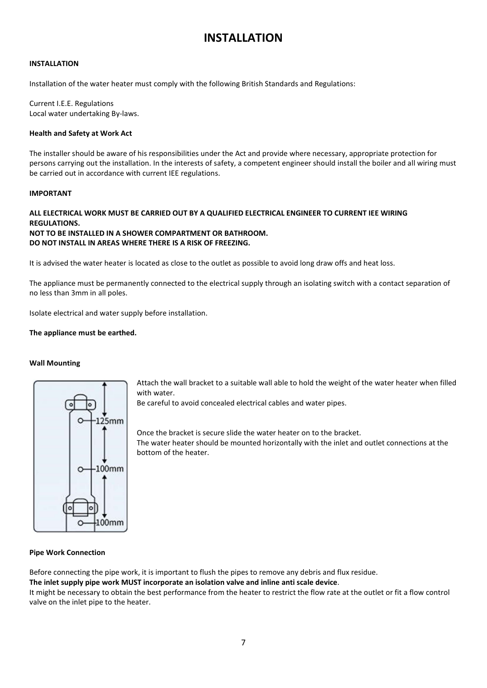# INSTALLATION

## INSTALLATION

Installation of the water heater must comply with the following British Standards and Regulations:

Current I.E.E. Regulations Local water undertaking By-laws.

#### Health and Safety at Work Act

The installer should be aware of his responsibilities under the Act and provide where necessary, appropriate protection for persons carrying out the installation. In the interests of safety, a competent engineer should install the boiler and all wiring must be carried out in accordance with current IEE regulations.

## IMPORTANT

## ALL ELECTRICAL WORK MUST BE CARRIED OUT BY A QUALIFIED ELECTRICAL ENGINEER TO CURRENT IEE WIRING **REGULATIONS.** NOT TO BE INSTALLED IN A SHOWER COMPARTMENT OR BATHROOM.

## DO NOT INSTALL IN AREAS WHERE THERE IS A RISK OF FREEZING.

It is advised the water heater is located as close to the outlet as possible to avoid long draw offs and heat loss.

The appliance must be permanently connected to the electrical supply through an isolating switch with a contact separation of no less than 3mm in all poles.

Isolate electrical and water supply before installation.

## The appliance must be earthed.

#### Wall Mounting



Attach the wall bracket to a suitable wall able to hold the weight of the water heater when filled with water.

Be careful to avoid concealed electrical cables and water pipes.

Once the bracket is secure slide the water heater on to the bracket. The water heater should be mounted horizontally with the inlet and outlet connections at the bottom of the heater.

#### Pipe Work Connection

Before connecting the pipe work, it is important to flush the pipes to remove any debris and flux residue.

The inlet supply pipe work MUST incorporate an isolation valve and inline anti scale device.

It might be necessary to obtain the best performance from the heater to restrict the flow rate at the outlet or fit a flow control valve on the inlet pipe to the heater.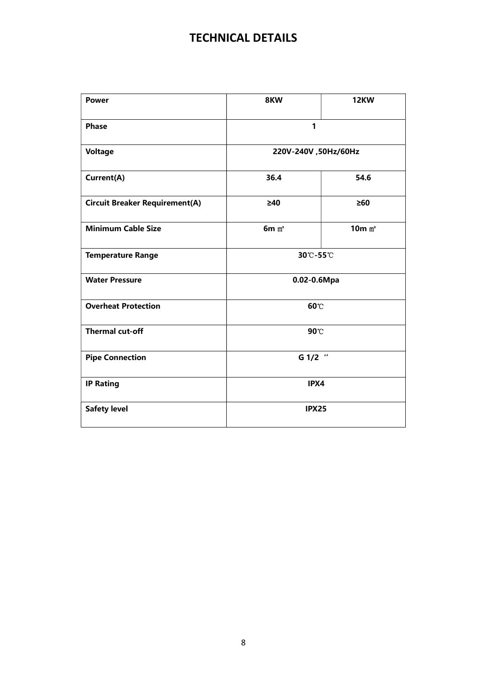# TECHNICAL DETAILS

| <b>Power</b>                          | 8KW                  | <b>12KW</b> |  |
|---------------------------------------|----------------------|-------------|--|
| <b>Phase</b>                          | 1                    |             |  |
| <b>Voltage</b>                        | 220V-240V, 50Hz/60Hz |             |  |
| Current(A)                            | 36.4                 | 54.6        |  |
| <b>Circuit Breaker Requirement(A)</b> | $\geq 40$            | $\geq 60$   |  |
| <b>Minimum Cable Size</b>             | $6m$ $m2$            | $10m$ $m2$  |  |
| <b>Temperature Range</b>              | 30°C-55°C            |             |  |
| <b>Water Pressure</b>                 | 0.02-0.6Mpa          |             |  |
| <b>Overheat Protection</b>            | 60°C                 |             |  |
| <b>Thermal cut-off</b>                | 90 C                 |             |  |
| <b>Pipe Connection</b>                | G 1/2 "              |             |  |
| <b>IP Rating</b>                      | IPX4                 |             |  |
| <b>Safety level</b>                   | <b>IPX25</b>         |             |  |